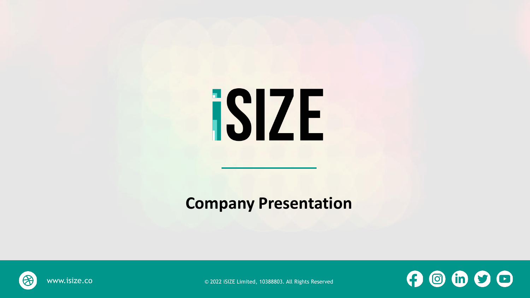# **ISIZE**

#### **Company Presentation**



www.isize.co © 2022 iSIZE Limited, 10388803. All Rights Reserved

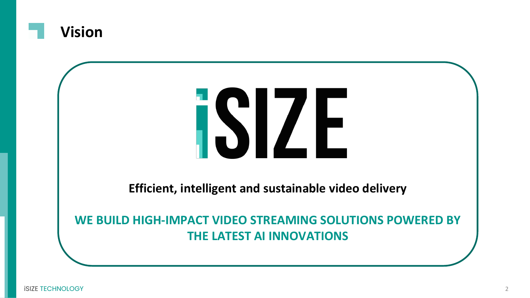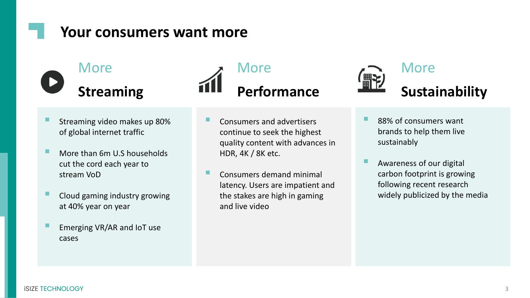#### **Your consumers want more**

## **More Streaming**

- Streaming video makes up 80% of global internet traffic
- More than 6m U.S households cut the cord each year to stream VoD
- Cloud gaming industry growing at 40% year on year
- Emerging VR/AR and IoT use cases



- Consumers and advertisers continue to seek the highest quality content with advances in HDR, 4K / 8K etc.
- Consumers demand minimal latency. Users are impatient and the stakes are high in gaming and live video



- 88% of consumers want brands to help them live sustainably
- Awareness of our digital carbon footprint is growing following recent research widely publicized by the media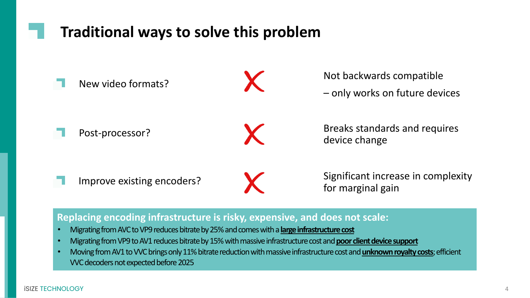#### **Traditional ways to solve this problem**



#### **Replacing encoding infrastructure is risky, expensive, and does not scale:**

- Migrating from AVC to VP9 reduces bitrate by 25% and comes with a **large infrastructure cost**
- Migrating from VP9 to AV1 reduces bitrate by 15% with massive infrastructure cost and **poor client device support**
- Moving from AV1 to VVC brings only 11% bitrate reduction with massive infrastructure cost and **unknown royalty costs**; efficient VVC decoders not expected before 2025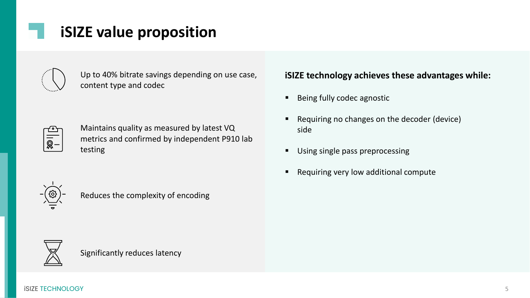### **iSIZE value proposition**

| Ĩ |  |
|---|--|
|   |  |

Up to 40% bitrate savings depending on use case, content type and codec

Maintains quality as measured by latest VQ metrics and confirmed by independent P910 lab testing

#### **iSIZE technology achieves these advantages while:**

- Being fully codec agnostic
- Requiring no changes on the decoder (device) side
- Using single pass preprocessing
- Requiring very low additional compute



Reduces the complexity of encoding



Significantly reduces latency

iSIZE TECHNOLOGY 5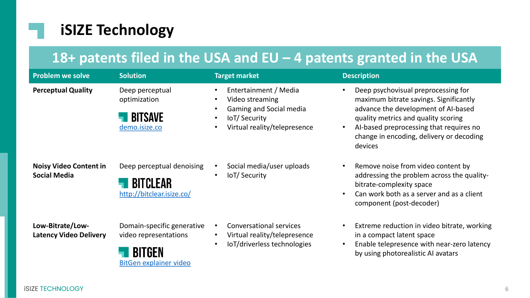#### **iSIZE Technology**

#### **18+ patents filed in the USA and EU – 4 patents granted in the USA**

| <b>Problem we solve</b>                              | <b>Solution</b>                                                               | <b>Target market</b>                                                                                                                                                         | <b>Description</b>                                                                                                                                                                                                                                            |
|------------------------------------------------------|-------------------------------------------------------------------------------|------------------------------------------------------------------------------------------------------------------------------------------------------------------------------|---------------------------------------------------------------------------------------------------------------------------------------------------------------------------------------------------------------------------------------------------------------|
| <b>Perceptual Quality</b>                            | Deep perceptual<br>optimization<br><b>BITSAVE</b><br>demo.isize.co            | Entertainment / Media<br>$\bullet$<br>Video streaming<br>٠<br>Gaming and Social media<br>$\bullet$<br>IoT/Security<br>$\bullet$<br>Virtual reality/telepresence<br>$\bullet$ | Deep psychovisual preprocessing for<br>maximum bitrate savings. Significantly<br>advance the development of AI-based<br>quality metrics and quality scoring<br>Al-based preprocessing that requires no<br>change in encoding, delivery or decoding<br>devices |
| <b>Noisy Video Content in</b><br><b>Social Media</b> | Deep perceptual denoising<br><b>BITCLEAR</b><br>http://bitclear.isize.co/     | Social media/user uploads<br>$\bullet$<br>IoT/Security<br>$\bullet$                                                                                                          | Remove noise from video content by<br>addressing the problem across the quality-<br>bitrate-complexity space<br>Can work both as a server and as a client<br>component (post-decoder)                                                                         |
| Low-Bitrate/Low-<br><b>Latency Video Delivery</b>    | Domain-specific generative<br>video representations<br>BitGen explainer video | <b>Conversational services</b><br>$\bullet$<br>Virtual reality/telepresence<br>$\bullet$<br>loT/driverless technologies<br>$\bullet$                                         | Extreme reduction in video bitrate, working<br>in a compact latent space<br>Enable telepresence with near-zero latency<br>by using photorealistic AI avatars                                                                                                  |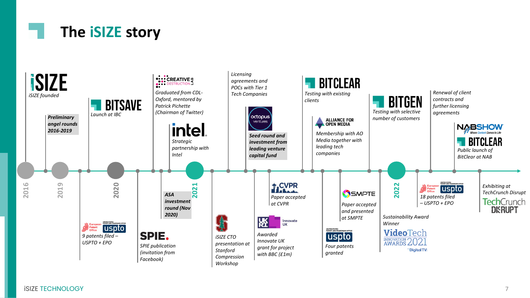